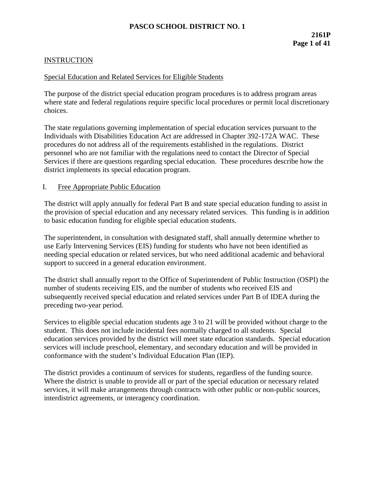## **INSTRUCTION**

### Special Education and Related Services for Eligible Students

The purpose of the district special education program procedures is to address program areas where state and federal regulations require specific local procedures or permit local discretionary choices.

The state regulations governing implementation of special education services pursuant to the Individuals with Disabilities Education Act are addressed in Chapter 392-172A WAC. These procedures do not address all of the requirements established in the regulations. District personnel who are not familiar with the regulations need to contact the Director of Special Services if there are questions regarding special education. These procedures describe how the district implements its special education program.

#### I. Free Appropriate Public Education

The district will apply annually for federal Part B and state special education funding to assist in the provision of special education and any necessary related services. This funding is in addition to basic education funding for eligible special education students.

The superintendent, in consultation with designated staff, shall annually determine whether to use Early Intervening Services (EIS) funding for students who have not been identified as needing special education or related services, but who need additional academic and behavioral support to succeed in a general education environment.

The district shall annually report to the Office of Superintendent of Public Instruction (OSPI) the number of students receiving EIS, and the number of students who received EIS and subsequently received special education and related services under Part B of IDEA during the preceding two-year period.

Services to eligible special education students age 3 to 21 will be provided without charge to the student. This does not include incidental fees normally charged to all students. Special education services provided by the district will meet state education standards. Special education services will include preschool, elementary, and secondary education and will be provided in conformance with the student's Individual Education Plan (IEP).

The district provides a continuum of services for students, regardless of the funding source. Where the district is unable to provide all or part of the special education or necessary related services, it will make arrangements through contracts with other public or non-public sources, interdistrict agreements, or interagency coordination.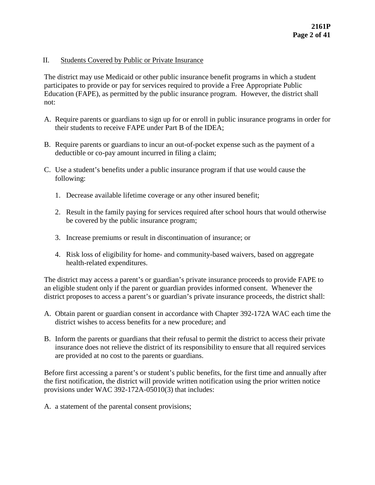### II. Students Covered by Public or Private Insurance

The district may use Medicaid or other public insurance benefit programs in which a student participates to provide or pay for services required to provide a Free Appropriate Public Education (FAPE), as permitted by the public insurance program. However, the district shall not:

- A. Require parents or guardians to sign up for or enroll in public insurance programs in order for their students to receive FAPE under Part B of the IDEA;
- B. Require parents or guardians to incur an out-of-pocket expense such as the payment of a deductible or co-pay amount incurred in filing a claim;
- C. Use a student's benefits under a public insurance program if that use would cause the following:
	- 1. Decrease available lifetime coverage or any other insured benefit;
	- 2. Result in the family paying for services required after school hours that would otherwise be covered by the public insurance program;
	- 3. Increase premiums or result in discontinuation of insurance; or
	- 4. Risk loss of eligibility for home- and community-based waivers, based on aggregate health-related expenditures.

The district may access a parent's or guardian's private insurance proceeds to provide FAPE to an eligible student only if the parent or guardian provides informed consent. Whenever the district proposes to access a parent's or guardian's private insurance proceeds, the district shall:

- A. Obtain parent or guardian consent in accordance with Chapter 392-172A WAC each time the district wishes to access benefits for a new procedure; and
- B. Inform the parents or guardians that their refusal to permit the district to access their private insurance does not relieve the district of its responsibility to ensure that all required services are provided at no cost to the parents or guardians.

Before first accessing a parent's or student's public benefits, for the first time and annually after the first notification, the district will provide written notification using the prior written notice provisions under WAC 392-172A-05010(3) that includes:

A. a statement of the parental consent provisions;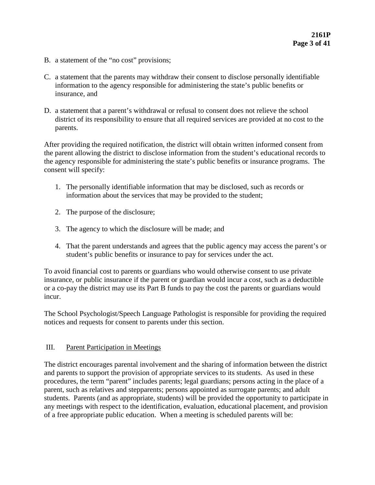- B. a statement of the "no cost" provisions;
- C. a statement that the parents may withdraw their consent to disclose personally identifiable information to the agency responsible for administering the state's public benefits or insurance, and
- D. a statement that a parent's withdrawal or refusal to consent does not relieve the school district of its responsibility to ensure that all required services are provided at no cost to the parents.

After providing the required notification, the district will obtain written informed consent from the parent allowing the district to disclose information from the student's educational records to the agency responsible for administering the state's public benefits or insurance programs. The consent will specify:

- 1. The personally identifiable information that may be disclosed, such as records or information about the services that may be provided to the student;
- 2. The purpose of the disclosure;
- 3. The agency to which the disclosure will be made; and
- 4. That the parent understands and agrees that the public agency may access the parent's or student's public benefits or insurance to pay for services under the act.

To avoid financial cost to parents or guardians who would otherwise consent to use private insurance, or public insurance if the parent or guardian would incur a cost, such as a deductible or a co-pay the district may use its Part B funds to pay the cost the parents or guardians would incur.

The School Psychologist/Speech Language Pathologist is responsible for providing the required notices and requests for consent to parents under this section.

### III. Parent Participation in Meetings

The district encourages parental involvement and the sharing of information between the district and parents to support the provision of appropriate services to its students. As used in these procedures, the term "parent" includes parents; legal guardians; persons acting in the place of a parent, such as relatives and stepparents; persons appointed as surrogate parents; and adult students. Parents (and as appropriate, students) will be provided the opportunity to participate in any meetings with respect to the identification, evaluation, educational placement, and provision of a free appropriate public education. When a meeting is scheduled parents will be: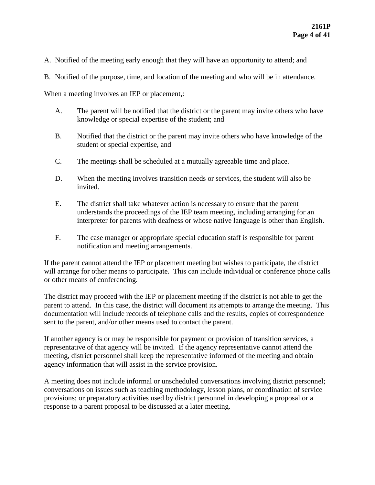- A. Notified of the meeting early enough that they will have an opportunity to attend; and
- B. Notified of the purpose, time, and location of the meeting and who will be in attendance.

When a meeting involves an IEP or placement,:

- A. The parent will be notified that the district or the parent may invite others who have knowledge or special expertise of the student; and
- B. Notified that the district or the parent may invite others who have knowledge of the student or special expertise, and
- C. The meetings shall be scheduled at a mutually agreeable time and place.
- D. When the meeting involves transition needs or services, the student will also be invited.
- E. The district shall take whatever action is necessary to ensure that the parent understands the proceedings of the IEP team meeting, including arranging for an interpreter for parents with deafness or whose native language is other than English.
- F. The case manager or appropriate special education staff is responsible for parent notification and meeting arrangements.

If the parent cannot attend the IEP or placement meeting but wishes to participate, the district will arrange for other means to participate. This can include individual or conference phone calls or other means of conferencing.

The district may proceed with the IEP or placement meeting if the district is not able to get the parent to attend. In this case, the district will document its attempts to arrange the meeting. This documentation will include records of telephone calls and the results, copies of correspondence sent to the parent, and/or other means used to contact the parent.

If another agency is or may be responsible for payment or provision of transition services, a representative of that agency will be invited. If the agency representative cannot attend the meeting, district personnel shall keep the representative informed of the meeting and obtain agency information that will assist in the service provision.

A meeting does not include informal or unscheduled conversations involving district personnel; conversations on issues such as teaching methodology, lesson plans, or coordination of service provisions; or preparatory activities used by district personnel in developing a proposal or a response to a parent proposal to be discussed at a later meeting.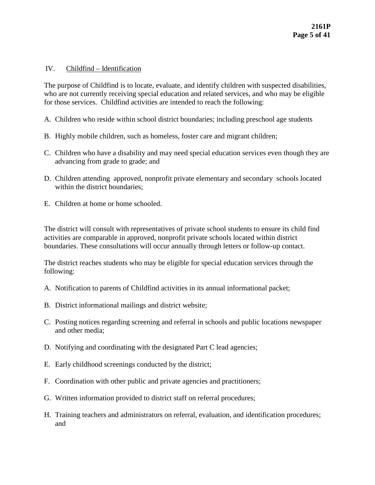#### IV. Childfind – Identification

The purpose of Childfind is to locate, evaluate, and identify children with suspected disabilities, who are not currently receiving special education and related services, and who may be eligible for those services. Childfind activities are intended to reach the following:

- A. Children who reside within school district boundaries; including preschool age students
- B. Highly mobile children, such as homeless, foster care and migrant children;
- C. Children who have a disability and may need special education services even though they are advancing from grade to grade; and
- D. Children attending approved, nonprofit private elementary and secondary schools located within the district boundaries;
- E. Children at home or home schooled.

The district will consult with representatives of private school students to ensure its child find activities are comparable in approved, nonprofit private schools located within district boundaries. These consultations will occur annually through letters or follow-up contact.

The district reaches students who may be eligible for special education services through the following:

- A. Notification to parents of Childfind activities in its annual informational packet;
- B. District informational mailings and district website;
- C. Posting notices regarding screening and referral in schools and public locations newspaper and other media;
- D. Notifying and coordinating with the designated Part C lead agencies;
- E. Early childhood screenings conducted by the district;
- F. Coordination with other public and private agencies and practitioners;
- G. Written information provided to district staff on referral procedures;
- H. Training teachers and administrators on referral, evaluation, and identification procedures; and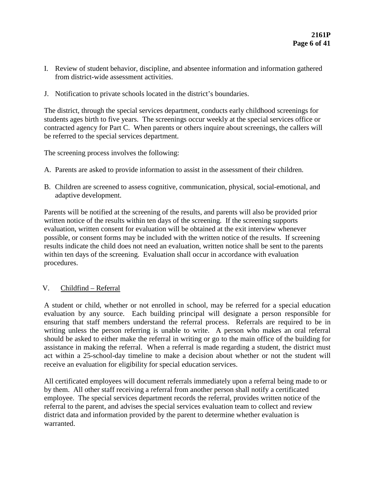- I. Review of student behavior, discipline, and absentee information and information gathered from district-wide assessment activities.
- J. Notification to private schools located in the district's boundaries.

The district, through the special services department, conducts early childhood screenings for students ages birth to five years. The screenings occur weekly at the special services office or contracted agency for Part C. When parents or others inquire about screenings, the callers will be referred to the special services department.

The screening process involves the following:

- A. Parents are asked to provide information to assist in the assessment of their children.
- B. Children are screened to assess cognitive, communication, physical, social-emotional, and adaptive development.

Parents will be notified at the screening of the results, and parents will also be provided prior written notice of the results within ten days of the screening. If the screening supports evaluation, written consent for evaluation will be obtained at the exit interview whenever possible, or consent forms may be included with the written notice of the results. If screening results indicate the child does not need an evaluation, written notice shall be sent to the parents within ten days of the screening. Evaluation shall occur in accordance with evaluation procedures.

### V. Childfind – Referral

A student or child, whether or not enrolled in school, may be referred for a special education evaluation by any source. Each building principal will designate a person responsible for ensuring that staff members understand the referral process. Referrals are required to be in writing unless the person referring is unable to write. A person who makes an oral referral should be asked to either make the referral in writing or go to the main office of the building for assistance in making the referral. When a referral is made regarding a student, the district must act within a 25-school-day timeline to make a decision about whether or not the student will receive an evaluation for eligibility for special education services.

All certificated employees will document referrals immediately upon a referral being made to or by them. All other staff receiving a referral from another person shall notify a certificated employee. The special services department records the referral, provides written notice of the referral to the parent, and advises the special services evaluation team to collect and review district data and information provided by the parent to determine whether evaluation is warranted.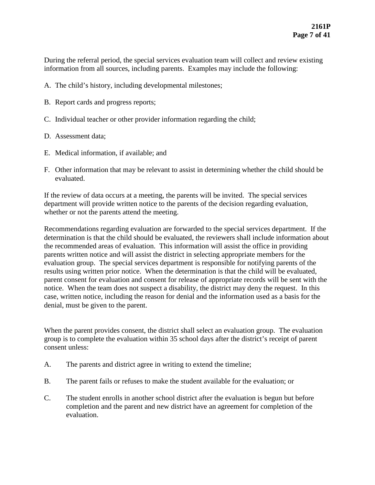During the referral period, the special services evaluation team will collect and review existing information from all sources, including parents. Examples may include the following:

- A. The child's history, including developmental milestones;
- B. Report cards and progress reports;
- C. Individual teacher or other provider information regarding the child;
- D. Assessment data;
- E. Medical information, if available; and
- F. Other information that may be relevant to assist in determining whether the child should be evaluated.

If the review of data occurs at a meeting, the parents will be invited. The special services department will provide written notice to the parents of the decision regarding evaluation, whether or not the parents attend the meeting.

Recommendations regarding evaluation are forwarded to the special services department. If the determination is that the child should be evaluated, the reviewers shall include information about the recommended areas of evaluation. This information will assist the office in providing parents written notice and will assist the district in selecting appropriate members for the evaluation group. The special services department is responsible for notifying parents of the results using written prior notice. When the determination is that the child will be evaluated, parent consent for evaluation and consent for release of appropriate records will be sent with the notice. When the team does not suspect a disability, the district may deny the request. In this case, written notice, including the reason for denial and the information used as a basis for the denial, must be given to the parent.

When the parent provides consent, the district shall select an evaluation group. The evaluation group is to complete the evaluation within 35 school days after the district's receipt of parent consent unless:

- A. The parents and district agree in writing to extend the timeline;
- B. The parent fails or refuses to make the student available for the evaluation; or
- C. The student enrolls in another school district after the evaluation is begun but before completion and the parent and new district have an agreement for completion of the evaluation.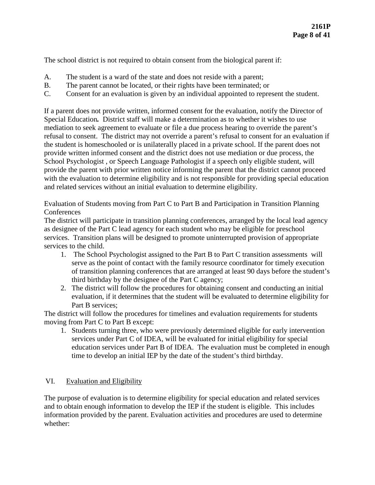The school district is not required to obtain consent from the biological parent if:

- A. The student is a ward of the state and does not reside with a parent;
- B. The parent cannot be located, or their rights have been terminated; or
- C. Consent for an evaluation is given by an individual appointed to represent the student.

If a parent does not provide written, informed consent for the evaluation, notify the Director of Special Education*.* District staff will make a determination as to whether it wishes to use mediation to seek agreement to evaluate or file a due process hearing to override the parent's refusal to consent. The district may not override a parent's refusal to consent for an evaluation if the student is homeschooled or is unilaterally placed in a private school. If the parent does not provide written informed consent and the district does not use mediation or due process, the School Psychologist , or Speech Language Pathologist if a speech only eligible student, will provide the parent with prior written notice informing the parent that the district cannot proceed with the evaluation to determine eligibility and is not responsible for providing special education and related services without an initial evaluation to determine eligibility.

Evaluation of Students moving from Part C to Part B and Participation in Transition Planning **Conferences** 

The district will participate in transition planning conferences, arranged by the local lead agency as designee of the Part C lead agency for each student who may be eligible for preschool services. Transition plans will be designed to promote uninterrupted provision of appropriate services to the child.

- 1. The School Psychologist assigned to the Part B to Part C transition assessments will serve as the point of contact with the family resource coordinator for timely execution of transition planning conferences that are arranged at least 90 days before the student's third birthday by the designee of the Part C agency;
- 2. The district will follow the procedures for obtaining consent and conducting an initial evaluation, if it determines that the student will be evaluated to determine eligibility for Part B services:

The district will follow the procedures for timelines and evaluation requirements for students moving from Part C to Part B except:

1. Students turning three, who were previously determined eligible for early intervention services under Part C of IDEA, will be evaluated for initial eligibility for special education services under Part B of IDEA. The evaluation must be completed in enough time to develop an initial IEP by the date of the student's third birthday.

### VI. Evaluation and Eligibility

The purpose of evaluation is to determine eligibility for special education and related services and to obtain enough information to develop the IEP if the student is eligible. This includes information provided by the parent. Evaluation activities and procedures are used to determine whether: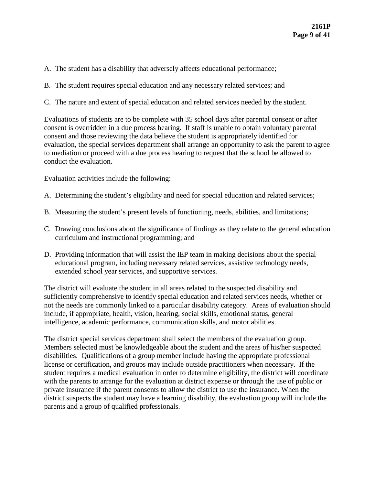- A. The student has a disability that adversely affects educational performance;
- B. The student requires special education and any necessary related services; and
- C. The nature and extent of special education and related services needed by the student.

Evaluations of students are to be complete with 35 school days after parental consent or after consent is overridden in a due process hearing. If staff is unable to obtain voluntary parental consent and those reviewing the data believe the student is appropriately identified for evaluation, the special services department shall arrange an opportunity to ask the parent to agree to mediation or proceed with a due process hearing to request that the school be allowed to conduct the evaluation.

Evaluation activities include the following:

- A. Determining the student's eligibility and need for special education and related services;
- B. Measuring the student's present levels of functioning, needs, abilities, and limitations;
- C. Drawing conclusions about the significance of findings as they relate to the general education curriculum and instructional programming; and
- D. Providing information that will assist the IEP team in making decisions about the special educational program, including necessary related services, assistive technology needs, extended school year services, and supportive services.

The district will evaluate the student in all areas related to the suspected disability and sufficiently comprehensive to identify special education and related services needs, whether or not the needs are commonly linked to a particular disability category. Areas of evaluation should include, if appropriate, health, vision, hearing, social skills, emotional status, general intelligence, academic performance, communication skills, and motor abilities.

The district special services department shall select the members of the evaluation group. Members selected must be knowledgeable about the student and the areas of his/her suspected disabilities. Qualifications of a group member include having the appropriate professional license or certification, and groups may include outside practitioners when necessary. If the student requires a medical evaluation in order to determine eligibility, the district will coordinate with the parents to arrange for the evaluation at district expense or through the use of public or private insurance if the parent consents to allow the district to use the insurance. When the district suspects the student may have a learning disability, the evaluation group will include the parents and a group of qualified professionals.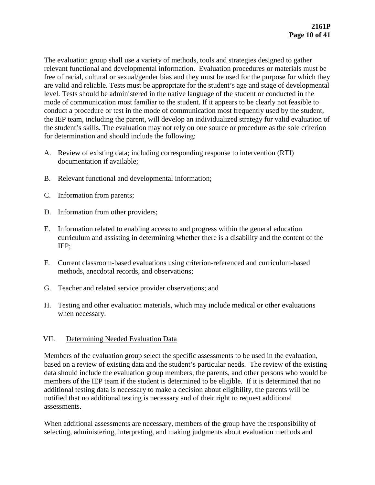The evaluation group shall use a variety of methods, tools and strategies designed to gather relevant functional and developmental information. Evaluation procedures or materials must be free of racial, cultural or sexual/gender bias and they must be used for the purpose for which they are valid and reliable. Tests must be appropriate for the student's age and stage of developmental level. Tests should be administered in the native language of the student or conducted in the mode of communication most familiar to the student. If it appears to be clearly not feasible to conduct a procedure or test in the mode of communication most frequently used by the student, the IEP team, including the parent, will develop an individualized strategy for valid evaluation of the student's skills. The evaluation may not rely on one source or procedure as the sole criterion for determination and should include the following:

- A. Review of existing data; including corresponding response to intervention (RTI) documentation if available;
- B. Relevant functional and developmental information;
- C. Information from parents;
- D. Information from other providers;
- E. Information related to enabling access to and progress within the general education curriculum and assisting in determining whether there is a disability and the content of the IEP;
- F. Current classroom-based evaluations using criterion-referenced and curriculum-based methods, anecdotal records, and observations;
- G. Teacher and related service provider observations; and
- H. Testing and other evaluation materials, which may include medical or other evaluations when necessary.

# VII. Determining Needed Evaluation Data

Members of the evaluation group select the specific assessments to be used in the evaluation, based on a review of existing data and the student's particular needs. The review of the existing data should include the evaluation group members, the parents, and other persons who would be members of the IEP team if the student is determined to be eligible. If it is determined that no additional testing data is necessary to make a decision about eligibility, the parents will be notified that no additional testing is necessary and of their right to request additional assessments.

When additional assessments are necessary, members of the group have the responsibility of selecting, administering, interpreting, and making judgments about evaluation methods and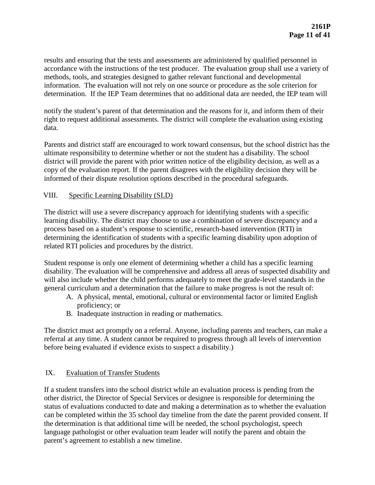results and ensuring that the tests and assessments are administered by qualified personnel in accordance with the instructions of the test producer. The evaluation group shall use a variety of methods, tools, and strategies designed to gather relevant functional and developmental information. The evaluation will not rely on one source or procedure as the sole criterion for determination. If the IEP Team determines that no additional data are needed, the IEP team will

notify the student's parent of that determination and the reasons for it, and inform them of their right to request additional assessments. The district will complete the evaluation using existing data.

Parents and district staff are encouraged to work toward consensus, but the school district has the ultimate responsibility to determine whether or not the student has a disability. The school district will provide the parent with prior written notice of the eligibility decision, as well as a copy of the evaluation report. If the parent disagrees with the eligibility decision they will be informed of their dispute resolution options described in the procedural safeguards.

# VIII. Specific Learning Disability (SLD)

The district will use a severe discrepancy approach for identifying students with a specific learning disability. The district may choose to use a combination of severe discrepancy and a process based on a student's response to scientific, research-based intervention (RTI) in determining the identification of students with a specific learning disability upon adoption of related RTI policies and procedures by the district.

Student response is only one element of determining whether a child has a specific learning disability. The evaluation will be comprehensive and address all areas of suspected disability and will also include whether the child performs adequately to meet the grade-level standards in the general curriculum and a determination that the failure to make progress is not the result of:

- A. A physical, mental, emotional, cultural or environmental factor or limited English proficiency; or
- B. Inadequate instruction in reading or mathematics.

The district must act promptly on a referral. Anyone, including parents and teachers, can make a referral at any time. A student cannot be required to progress through all levels of intervention before being evaluated if evidence exists to suspect a disability.)

# IX. Evaluation of Transfer Students

If a student transfers into the school district while an evaluation process is pending from the other district, the Director of Special Services or designee is responsible for determining the status of evaluations conducted to date and making a determination as to whether the evaluation can be completed within the 35 school day timeline from the date the parent provided consent. If the determination is that additional time will be needed, the school psychologist, speech language pathologist or other evaluation team leader will notify the parent and obtain the parent's agreement to establish a new timeline.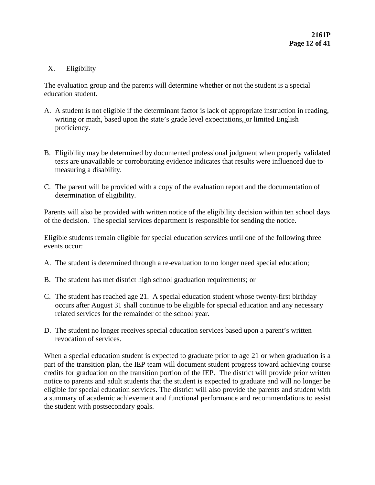# X. Eligibility

The evaluation group and the parents will determine whether or not the student is a special education student.

- A. A student is not eligible if the determinant factor is lack of appropriate instruction in reading, writing or math, based upon the state's grade level expectations, or limited English proficiency.
- B. Eligibility may be determined by documented professional judgment when properly validated tests are unavailable or corroborating evidence indicates that results were influenced due to measuring a disability.
- C. The parent will be provided with a copy of the evaluation report and the documentation of determination of eligibility.

Parents will also be provided with written notice of the eligibility decision within ten school days of the decision. The special services department is responsible for sending the notice.

Eligible students remain eligible for special education services until one of the following three events occur:

- A. The student is determined through a re-evaluation to no longer need special education;
- B. The student has met district high school graduation requirements; or
- C. The student has reached age 21. A special education student whose twenty-first birthday occurs after August 31 shall continue to be eligible for special education and any necessary related services for the remainder of the school year.
- D. The student no longer receives special education services based upon a parent's written revocation of services.

When a special education student is expected to graduate prior to age 21 or when graduation is a part of the transition plan, the IEP team will document student progress toward achieving course credits for graduation on the transition portion of the IEP. The district will provide prior written notice to parents and adult students that the student is expected to graduate and will no longer be eligible for special education services. The district will also provide the parents and student with a summary of academic achievement and functional performance and recommendations to assist the student with postsecondary goals.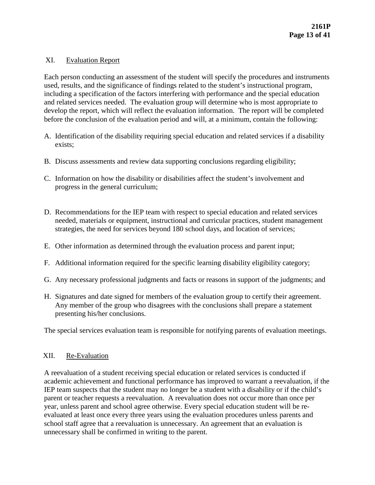## XI. Evaluation Report

Each person conducting an assessment of the student will specify the procedures and instruments used, results, and the significance of findings related to the student's instructional program, including a specification of the factors interfering with performance and the special education and related services needed. The evaluation group will determine who is most appropriate to develop the report, which will reflect the evaluation information. The report will be completed before the conclusion of the evaluation period and will, at a minimum, contain the following:

- A. Identification of the disability requiring special education and related services if a disability exists;
- B. Discuss assessments and review data supporting conclusions regarding eligibility;
- C. Information on how the disability or disabilities affect the student's involvement and progress in the general curriculum;
- D. Recommendations for the IEP team with respect to special education and related services needed, materials or equipment, instructional and curricular practices, student management strategies, the need for services beyond 180 school days, and location of services;
- E. Other information as determined through the evaluation process and parent input;
- F. Additional information required for the specific learning disability eligibility category;
- G. Any necessary professional judgments and facts or reasons in support of the judgments; and
- H. Signatures and date signed for members of the evaluation group to certify their agreement. Any member of the group who disagrees with the conclusions shall prepare a statement presenting his/her conclusions.

The special services evaluation team is responsible for notifying parents of evaluation meetings.

### XII. Re-Evaluation

A reevaluation of a student receiving special education or related services is conducted if academic achievement and functional performance has improved to warrant a reevaluation, if the IEP team suspects that the student may no longer be a student with a disability or if the child's parent or teacher requests a reevaluation. A reevaluation does not occur more than once per year, unless parent and school agree otherwise. Every special education student will be reevaluated at least once every three years using the evaluation procedures unless parents and school staff agree that a reevaluation is unnecessary. An agreement that an evaluation is unnecessary shall be confirmed in writing to the parent.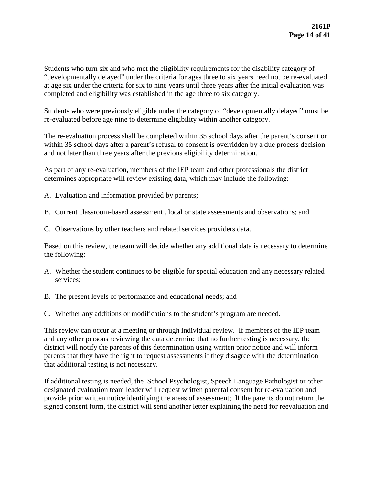Students who turn six and who met the eligibility requirements for the disability category of "developmentally delayed" under the criteria for ages three to six years need not be re-evaluated at age six under the criteria for six to nine years until three years after the initial evaluation was completed and eligibility was established in the age three to six category.

Students who were previously eligible under the category of "developmentally delayed" must be re-evaluated before age nine to determine eligibility within another category.

The re-evaluation process shall be completed within 35 school days after the parent's consent or within 35 school days after a parent's refusal to consent is overridden by a due process decision and not later than three years after the previous eligibility determination.

As part of any re-evaluation, members of the IEP team and other professionals the district determines appropriate will review existing data, which may include the following:

- A. Evaluation and information provided by parents;
- B. Current classroom-based assessment , local or state assessments and observations; and
- C. Observations by other teachers and related services providers data.

Based on this review, the team will decide whether any additional data is necessary to determine the following:

- A. Whether the student continues to be eligible for special education and any necessary related services;
- B. The present levels of performance and educational needs; and
- C. Whether any additions or modifications to the student's program are needed.

This review can occur at a meeting or through individual review. If members of the IEP team and any other persons reviewing the data determine that no further testing is necessary, the district will notify the parents of this determination using written prior notice and will inform parents that they have the right to request assessments if they disagree with the determination that additional testing is not necessary.

If additional testing is needed, the School Psychologist, Speech Language Pathologist or other designated evaluation team leader will request written parental consent for re-evaluation and provide prior written notice identifying the areas of assessment; If the parents do not return the signed consent form, the district will send another letter explaining the need for reevaluation and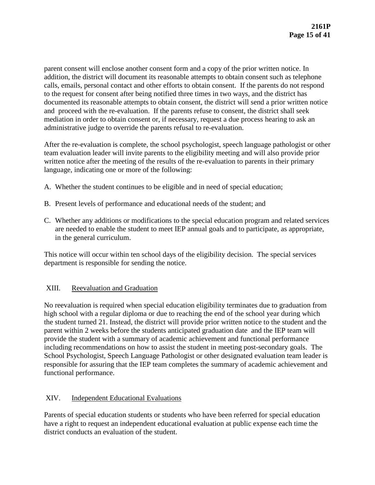parent consent will enclose another consent form and a copy of the prior written notice. In addition, the district will document its reasonable attempts to obtain consent such as telephone calls, emails, personal contact and other efforts to obtain consent. If the parents do not respond to the request for consent after being notified three times in two ways, and the district has documented its reasonable attempts to obtain consent, the district will send a prior written notice and proceed with the re-evaluation. If the parents refuse to consent, the district shall seek mediation in order to obtain consent or, if necessary, request a due process hearing to ask an administrative judge to override the parents refusal to re-evaluation.

After the re-evaluation is complete, the school psychologist, speech language pathologist or other team evaluation leader will invite parents to the eligibility meeting and will also provide prior written notice after the meeting of the results of the re-evaluation to parents in their primary language, indicating one or more of the following:

- A. Whether the student continues to be eligible and in need of special education;
- B. Present levels of performance and educational needs of the student; and
- C. Whether any additions or modifications to the special education program and related services are needed to enable the student to meet IEP annual goals and to participate, as appropriate, in the general curriculum.

This notice will occur within ten school days of the eligibility decision. The special services department is responsible for sending the notice.

# XIII. Reevaluation and Graduation

No reevaluation is required when special education eligibility terminates due to graduation from high school with a regular diploma or due to reaching the end of the school year during which the student turned 21. Instead, the district will provide prior written notice to the student and the parent within 2 weeks before the students anticipated graduation date and the IEP team will provide the student with a summary of academic achievement and functional performance including recommendations on how to assist the student in meeting post-secondary goals. The School Psychologist, Speech Language Pathologist or other designated evaluation team leader is responsible for assuring that the IEP team completes the summary of academic achievement and functional performance.

# XIV. Independent Educational Evaluations

Parents of special education students or students who have been referred for special education have a right to request an independent educational evaluation at public expense each time the district conducts an evaluation of the student.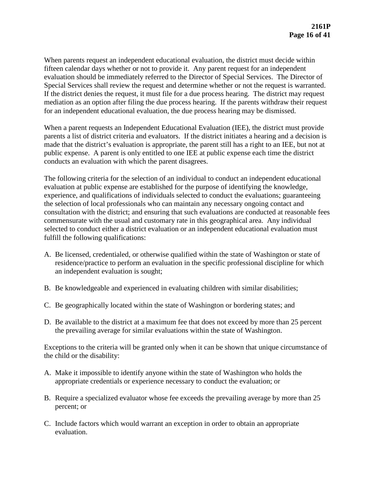When parents request an independent educational evaluation, the district must decide within fifteen calendar days whether or not to provide it. Any parent request for an independent evaluation should be immediately referred to the Director of Special Services. The Director of Special Services shall review the request and determine whether or not the request is warranted. If the district denies the request, it must file for a due process hearing. The district may request mediation as an option after filing the due process hearing. If the parents withdraw their request for an independent educational evaluation, the due process hearing may be dismissed.

When a parent requests an Independent Educational Evaluation (IEE), the district must provide parents a list of district criteria and evaluators. If the district initiates a hearing and a decision is made that the district's evaluation is appropriate, the parent still has a right to an IEE, but not at public expense. A parent is only entitled to one IEE at public expense each time the district conducts an evaluation with which the parent disagrees.

The following criteria for the selection of an individual to conduct an independent educational evaluation at public expense are established for the purpose of identifying the knowledge, experience, and qualifications of individuals selected to conduct the evaluations; guaranteeing the selection of local professionals who can maintain any necessary ongoing contact and consultation with the district; and ensuring that such evaluations are conducted at reasonable fees commensurate with the usual and customary rate in this geographical area. Any individual selected to conduct either a district evaluation or an independent educational evaluation must fulfill the following qualifications:

- A. Be licensed, credentialed, or otherwise qualified within the state of Washington or state of residence/practice to perform an evaluation in the specific professional discipline for which an independent evaluation is sought;
- B. Be knowledgeable and experienced in evaluating children with similar disabilities;
- C. Be geographically located within the state of Washington or bordering states; and
- D. Be available to the district at a maximum fee that does not exceed by more than 25 percent the prevailing average for similar evaluations within the state of Washington.

Exceptions to the criteria will be granted only when it can be shown that unique circumstance of the child or the disability:

- A. Make it impossible to identify anyone within the state of Washington who holds the appropriate credentials or experience necessary to conduct the evaluation; or
- B. Require a specialized evaluator whose fee exceeds the prevailing average by more than 25 percent; or
- C. Include factors which would warrant an exception in order to obtain an appropriate evaluation.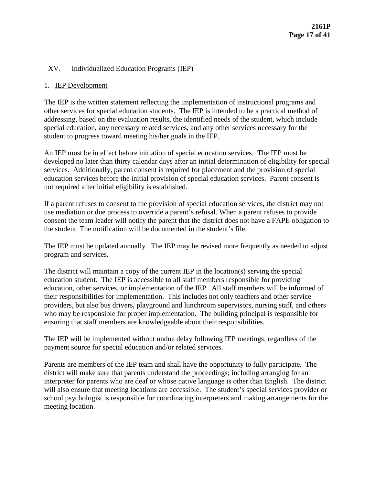## XV. Individualized Education Programs (IEP)

## 1. IEP Development

The IEP is the written statement reflecting the implementation of instructional programs and other services for special education students. The IEP is intended to be a practical method of addressing, based on the evaluation results, the identified needs of the student, which include special education, any necessary related services, and any other services necessary for the student to progress toward meeting his/her goals in the IEP.

An IEP must be in effect before initiation of special education services. The IEP must be developed no later than thirty calendar days after an initial determination of eligibility for special services. Additionally, parent consent is required for placement and the provision of special education services before the initial provision of special education services. Parent consent is not required after initial eligibility is established.

If a parent refuses to consent to the provision of special education services, the district may not use mediation or due process to override a parent's refusal. When a parent refuses to provide consent the team leader will notify the parent that the district does not have a FAPE obligation to the student. The notification will be documented in the student's file.

The IEP must be updated annually. The IEP may be revised more frequently as needed to adjust program and services.

The district will maintain a copy of the current IEP in the location(s) serving the special education student. The IEP is accessible to all staff members responsible for providing education, other services, or implementation of the IEP. All staff members will be informed of their responsibilities for implementation. This includes not only teachers and other service providers, but also bus drivers, playground and lunchroom supervisors, nursing staff, and others who may be responsible for proper implementation. The building principal is responsible for ensuring that staff members are knowledgeable about their responsibilities.

The IEP will be implemented without undue delay following IEP meetings, regardless of the payment source for special education and/or related services.

Parents are members of the IEP team and shall have the opportunity to fully participate. The district will make sure that parents understand the proceedings; including arranging for an interpreter for parents who are deaf or whose native language is other than English. The district will also ensure that meeting locations are accessible. The student's special services provider or school psychologist is responsible for coordinating interpreters and making arrangements for the meeting location.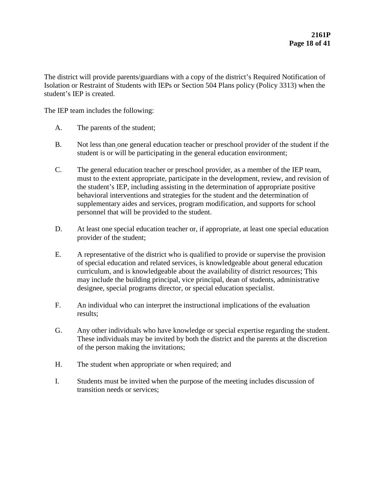The district will provide parents/guardians with a copy of the district's Required Notification of Isolation or Restraint of Students with IEPs or Section 504 Plans policy (Policy 3313) when the student's IEP is created.

The IEP team includes the following:

- A. The parents of the student;
- B. Not less than one general education teacher or preschool provider of the student if the student is or will be participating in the general education environment;
- C. The general education teacher or preschool provider, as a member of the IEP team, must to the extent appropriate, participate in the development, review, and revision of the student's IEP, including assisting in the determination of appropriate positive behavioral interventions and strategies for the student and the determination of supplementary aides and services, program modification, and supports for school personnel that will be provided to the student.
- D. At least one special education teacher or, if appropriate, at least one special education provider of the student;
- E. A representative of the district who is qualified to provide or supervise the provision of special education and related services, is knowledgeable about general education curriculum, and is knowledgeable about the availability of district resources; This may include the building principal, vice principal, dean of students, administrative designee, special programs director, or special education specialist.
- F. An individual who can interpret the instructional implications of the evaluation results;
- G. Any other individuals who have knowledge or special expertise regarding the student. These individuals may be invited by both the district and the parents at the discretion of the person making the invitations;
- H. The student when appropriate or when required; and
- I. Students must be invited when the purpose of the meeting includes discussion of transition needs or services;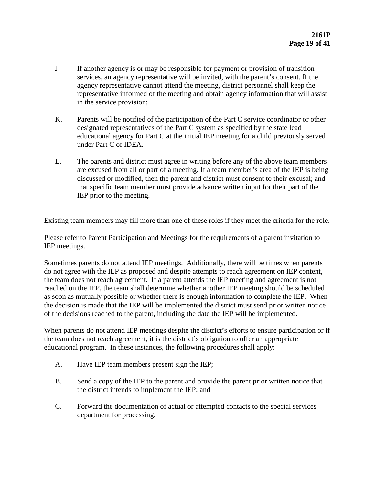- J. If another agency is or may be responsible for payment or provision of transition services, an agency representative will be invited, with the parent's consent. If the agency representative cannot attend the meeting, district personnel shall keep the representative informed of the meeting and obtain agency information that will assist in the service provision;
- K. Parents will be notified of the participation of the Part C service coordinator or other designated representatives of the Part C system as specified by the state lead educational agency for Part C at the initial IEP meeting for a child previously served under Part C of IDEA.
- L. The parents and district must agree in writing before any of the above team members are excused from all or part of a meeting. If a team member's area of the IEP is being discussed or modified, then the parent and district must consent to their excusal; and that specific team member must provide advance written input for their part of the IEP prior to the meeting.

Existing team members may fill more than one of these roles if they meet the criteria for the role.

Please refer to Parent Participation and Meetings for the requirements of a parent invitation to IEP meetings.

Sometimes parents do not attend IEP meetings. Additionally, there will be times when parents do not agree with the IEP as proposed and despite attempts to reach agreement on IEP content, the team does not reach agreement. If a parent attends the IEP meeting and agreement is not reached on the IEP, the team shall determine whether another IEP meeting should be scheduled as soon as mutually possible or whether there is enough information to complete the IEP. When the decision is made that the IEP will be implemented the district must send prior written notice of the decisions reached to the parent, including the date the IEP will be implemented.

When parents do not attend IEP meetings despite the district's efforts to ensure participation or if the team does not reach agreement, it is the district's obligation to offer an appropriate educational program. In these instances, the following procedures shall apply:

- A. Have IEP team members present sign the IEP;
- B. Send a copy of the IEP to the parent and provide the parent prior written notice that the district intends to implement the IEP; and
- C. Forward the documentation of actual or attempted contacts to the special services department for processing.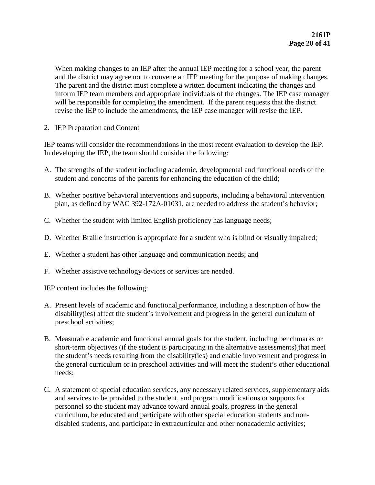When making changes to an IEP after the annual IEP meeting for a school year, the parent and the district may agree not to convene an IEP meeting for the purpose of making changes. The parent and the district must complete a written document indicating the changes and inform IEP team members and appropriate individuals of the changes. The IEP case manager will be responsible for completing the amendment. If the parent requests that the district revise the IEP to include the amendments, the IEP case manager will revise the IEP.

# 2. IEP Preparation and Content

IEP teams will consider the recommendations in the most recent evaluation to develop the IEP. In developing the IEP, the team should consider the following:

- A. The strengths of the student including academic, developmental and functional needs of the student and concerns of the parents for enhancing the education of the child;
- B. Whether positive behavioral interventions and supports, including a behavioral intervention plan, as defined by WAC 392-172A-01031, are needed to address the student's behavior;
- C. Whether the student with limited English proficiency has language needs;
- D. Whether Braille instruction is appropriate for a student who is blind or visually impaired;
- E. Whether a student has other language and communication needs; and
- F. Whether assistive technology devices or services are needed.

IEP content includes the following:

- A. Present levels of academic and functional performance, including a description of how the disability(ies) affect the student's involvement and progress in the general curriculum of preschool activities;
- B. Measurable academic and functional annual goals for the student, including benchmarks or short-term objectives (if the student is participating in the alternative assessments) that meet the student's needs resulting from the disability(ies) and enable involvement and progress in the general curriculum or in preschool activities and will meet the student's other educational needs;
- C. A statement of special education services, any necessary related services, supplementary aids and services to be provided to the student, and program modifications or supports for personnel so the student may advance toward annual goals, progress in the general curriculum, be educated and participate with other special education students and nondisabled students, and participate in extracurricular and other nonacademic activities;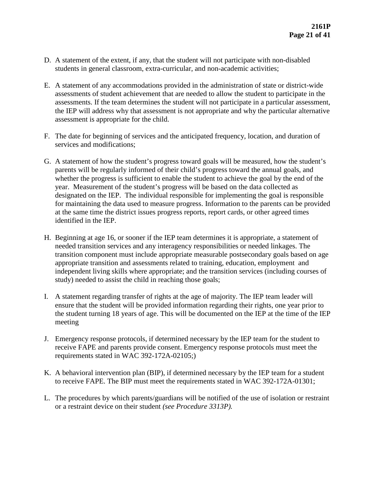- D. A statement of the extent, if any, that the student will not participate with non-disabled students in general classroom, extra-curricular, and non-academic activities;
- E. A statement of any accommodations provided in the administration of state or district-wide assessments of student achievement that are needed to allow the student to participate in the assessments. If the team determines the student will not participate in a particular assessment, the IEP will address why that assessment is not appropriate and why the particular alternative assessment is appropriate for the child.
- F. The date for beginning of services and the anticipated frequency, location, and duration of services and modifications;
- G. A statement of how the student's progress toward goals will be measured, how the student's parents will be regularly informed of their child's progress toward the annual goals, and whether the progress is sufficient to enable the student to achieve the goal by the end of the year. Measurement of the student's progress will be based on the data collected as designated on the IEP. The individual responsible for implementing the goal is responsible for maintaining the data used to measure progress. Information to the parents can be provided at the same time the district issues progress reports, report cards, or other agreed times identified in the IEP.
- H. Beginning at age 16, or sooner if the IEP team determines it is appropriate, a statement of needed transition services and any interagency responsibilities or needed linkages. The transition component must include appropriate measurable postsecondary goals based on age appropriate transition and assessments related to training, education, employment and independent living skills where appropriate; and the transition services (including courses of study) needed to assist the child in reaching those goals;
- I. A statement regarding transfer of rights at the age of majority. The IEP team leader will ensure that the student will be provided information regarding their rights, one year prior to the student turning 18 years of age. This will be documented on the IEP at the time of the IEP meeting
- J. Emergency response protocols, if determined necessary by the IEP team for the student to receive FAPE and parents provide consent. Emergency response protocols must meet the requirements stated in WAC 392-172A-02105;)
- K. A behavioral intervention plan (BIP), if determined necessary by the IEP team for a student to receive FAPE. The BIP must meet the requirements stated in WAC 392-172A-01301;
- L. The procedures by which parents/guardians will be notified of the use of isolation or restraint or a restraint device on their student *(see Procedure 3313P).*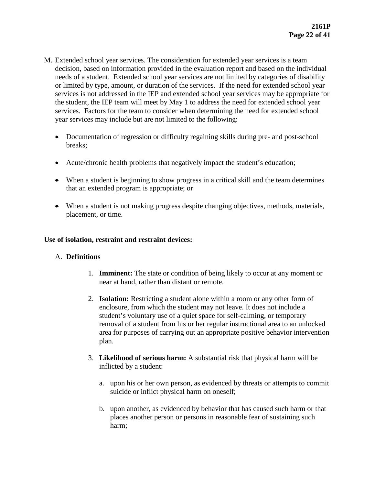- M. Extended school year services. The consideration for extended year services is a team decision, based on information provided in the evaluation report and based on the individual needs of a student. Extended school year services are not limited by categories of disability or limited by type, amount, or duration of the services. If the need for extended school year services is not addressed in the IEP and extended school year services may be appropriate for the student, the IEP team will meet by May 1 to address the need for extended school year services. Factors for the team to consider when determining the need for extended school year services may include but are not limited to the following:
	- Documentation of regression or difficulty regaining skills during pre- and post-school breaks;
	- Acute/chronic health problems that negatively impact the student's education;
	- When a student is beginning to show progress in a critical skill and the team determines that an extended program is appropriate; or
	- When a student is not making progress despite changing objectives, methods, materials, placement, or time.

## **Use of isolation, restraint and restraint devices:**

### A. **Definitions**

- 1. **Imminent:** The state or condition of being likely to occur at any moment or near at hand, rather than distant or remote.
- 2. **Isolation:** Restricting a student alone within a room or any other form of enclosure, from which the student may not leave. It does not include a student's voluntary use of a quiet space for self-calming, or temporary removal of a student from his or her regular instructional area to an unlocked area for purposes of carrying out an appropriate positive behavior intervention plan.
- 3. **Likelihood of serious harm:** A substantial risk that physical harm will be inflicted by a student:
	- a. upon his or her own person, as evidenced by threats or attempts to commit suicide or inflict physical harm on oneself;
	- b. upon another, as evidenced by behavior that has caused such harm or that places another person or persons in reasonable fear of sustaining such harm;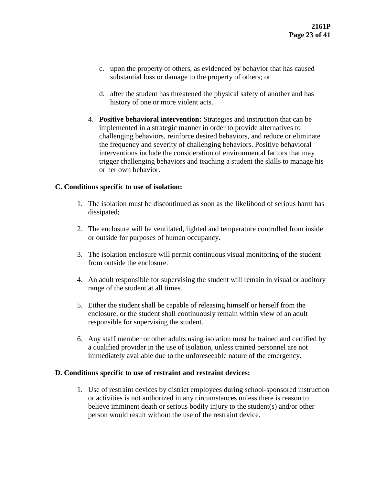- c. upon the property of others, as evidenced by behavior that has caused substantial loss or damage to the property of others; or
- d. after the student has threatened the physical safety of another and has history of one or more violent acts.
- 4. **Positive behavioral intervention:** Strategies and instruction that can be implemented in a strategic manner in order to provide alternatives to challenging behaviors, reinforce desired behaviors, and reduce or eliminate the frequency and severity of challenging behaviors. Positive behavioral interventions include the consideration of environmental factors that may trigger challenging behaviors and teaching a student the skills to manage his or her own behavior.

## **C. Conditions specific to use of isolation:**

- 1. The isolation must be discontinued as soon as the likelihood of serious harm has dissipated;
- 2. The enclosure will be ventilated, lighted and temperature controlled from inside or outside for purposes of human occupancy.
- 3. The isolation enclosure will permit continuous visual monitoring of the student from outside the enclosure.
- 4. An adult responsible for supervising the student will remain in visual or auditory range of the student at all times.
- 5. Either the student shall be capable of releasing himself or herself from the enclosure, or the student shall continuously remain within view of an adult responsible for supervising the student.
- 6. Any staff member or other adults using isolation must be trained and certified by a qualified provider in the use of isolation, unless trained personnel are not immediately available due to the unforeseeable nature of the emergency.

### **D. Conditions specific to use of restraint and restraint devices:**

1. Use of restraint devices by district employees during school-sponsored instruction or activities is not authorized in any circumstances unless there is reason to believe imminent death or serious bodily injury to the student(s) and/or other person would result without the use of the restraint device.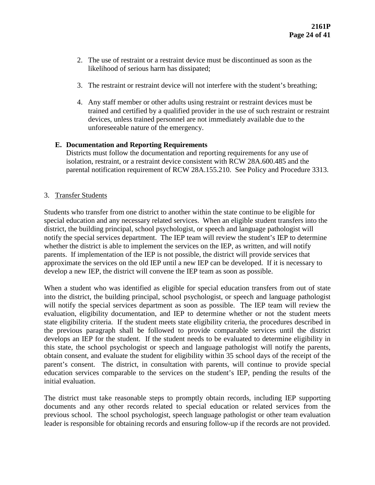- 2. The use of restraint or a restraint device must be discontinued as soon as the likelihood of serious harm has dissipated;
- 3. The restraint or restraint device will not interfere with the student's breathing;
- 4. Any staff member or other adults using restraint or restraint devices must be trained and certified by a qualified provider in the use of such restraint or restraint devices, unless trained personnel are not immediately available due to the unforeseeable nature of the emergency.

## **E. Documentation and Reporting Requirements**

Districts must follow the documentation and reporting requirements for any use of isolation, restraint, or a restraint device consistent with RCW 28A.600.485 and the parental notification requirement of RCW 28A.155.210. See Policy and Procedure 3313.

## 3. Transfer Students

Students who transfer from one district to another within the state continue to be eligible for special education and any necessary related services. When an eligible student transfers into the district, the building principal, school psychologist, or speech and language pathologist will notify the special services department. The IEP team will review the student's IEP to determine whether the district is able to implement the services on the IEP, as written, and will notify parents. If implementation of the IEP is not possible, the district will provide services that approximate the services on the old IEP until a new IEP can be developed. If it is necessary to develop a new IEP, the district will convene the IEP team as soon as possible.

When a student who was identified as eligible for special education transfers from out of state into the district, the building principal, school psychologist, or speech and language pathologist will notify the special services department as soon as possible. The IEP team will review the evaluation, eligibility documentation, and IEP to determine whether or not the student meets state eligibility criteria. If the student meets state eligibility criteria, the procedures described in the previous paragraph shall be followed to provide comparable services until the district develops an IEP for the student. If the student needs to be evaluated to determine eligibility in this state, the school psychologist or speech and language pathologist will notify the parents, obtain consent, and evaluate the student for eligibility within 35 school days of the receipt of the parent's consent. The district, in consultation with parents, will continue to provide special education services comparable to the services on the student's IEP, pending the results of the initial evaluation.

The district must take reasonable steps to promptly obtain records, including IEP supporting documents and any other records related to special education or related services from the previous school. The school psychologist, speech language pathologist or other team evaluation leader is responsible for obtaining records and ensuring follow-up if the records are not provided.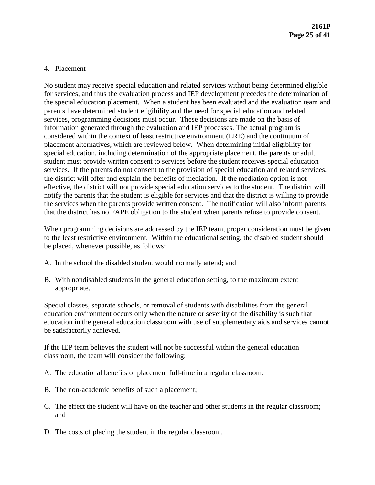#### 4. Placement

No student may receive special education and related services without being determined eligible for services, and thus the evaluation process and IEP development precedes the determination of the special education placement. When a student has been evaluated and the evaluation team and parents have determined student eligibility and the need for special education and related services, programming decisions must occur. These decisions are made on the basis of information generated through the evaluation and IEP processes. The actual program is considered within the context of least restrictive environment (LRE) and the continuum of placement alternatives, which are reviewed below. When determining initial eligibility for special education, including determination of the appropriate placement, the parents or adult student must provide written consent to services before the student receives special education services. If the parents do not consent to the provision of special education and related services, the district will offer and explain the benefits of mediation. If the mediation option is not effective, the district will not provide special education services to the student. The district will notify the parents that the student is eligible for services and that the district is willing to provide the services when the parents provide written consent. The notification will also inform parents that the district has no FAPE obligation to the student when parents refuse to provide consent.

When programming decisions are addressed by the IEP team, proper consideration must be given to the least restrictive environment. Within the educational setting, the disabled student should be placed, whenever possible, as follows:

- A. In the school the disabled student would normally attend; and
- B. With nondisabled students in the general education setting, to the maximum extent appropriate.

Special classes, separate schools, or removal of students with disabilities from the general education environment occurs only when the nature or severity of the disability is such that education in the general education classroom with use of supplementary aids and services cannot be satisfactorily achieved.

If the IEP team believes the student will not be successful within the general education classroom, the team will consider the following:

- A. The educational benefits of placement full-time in a regular classroom;
- B. The non-academic benefits of such a placement;
- C. The effect the student will have on the teacher and other students in the regular classroom; and
- D. The costs of placing the student in the regular classroom.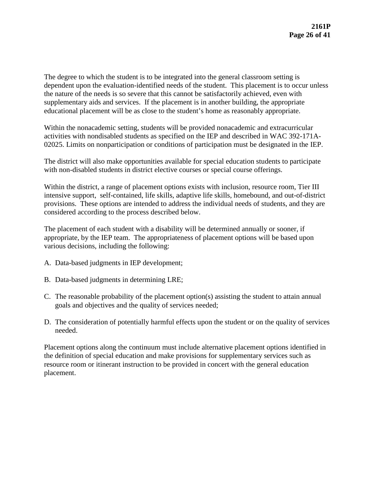The degree to which the student is to be integrated into the general classroom setting is dependent upon the evaluation-identified needs of the student. This placement is to occur unless the nature of the needs is so severe that this cannot be satisfactorily achieved, even with supplementary aids and services. If the placement is in another building, the appropriate educational placement will be as close to the student's home as reasonably appropriate.

Within the nonacademic setting, students will be provided nonacademic and extracurricular activities with nondisabled students as specified on the IEP and described in WAC 392-171A-02025. Limits on nonparticipation or conditions of participation must be designated in the IEP.

The district will also make opportunities available for special education students to participate with non-disabled students in district elective courses or special course offerings.

Within the district, a range of placement options exists with inclusion, resource room, Tier III intensive support, self-contained, life skills, adaptive life skills, homebound, and out-of-district provisions. These options are intended to address the individual needs of students, and they are considered according to the process described below.

The placement of each student with a disability will be determined annually or sooner, if appropriate, by the IEP team. The appropriateness of placement options will be based upon various decisions, including the following:

- A. Data-based judgments in IEP development;
- B. Data-based judgments in determining LRE;
- C. The reasonable probability of the placement option(s) assisting the student to attain annual goals and objectives and the quality of services needed;
- D. The consideration of potentially harmful effects upon the student or on the quality of services needed.

Placement options along the continuum must include alternative placement options identified in the definition of special education and make provisions for supplementary services such as resource room or itinerant instruction to be provided in concert with the general education placement.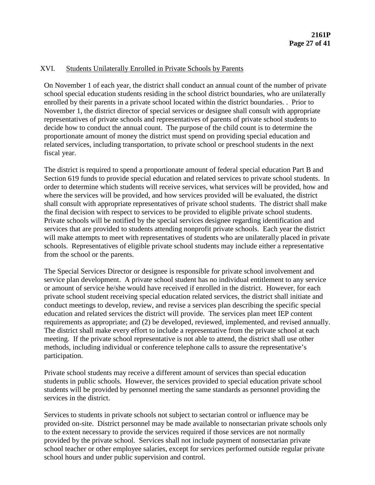## XVI. Students Unilaterally Enrolled in Private Schools by Parents

On November 1 of each year, the district shall conduct an annual count of the number of private school special education students residing in the school district boundaries, who are unilaterally enrolled by their parents in a private school located within the district boundaries. . Prior to November 1, the district director of special services or designee shall consult with appropriate representatives of private schools and representatives of parents of private school students to decide how to conduct the annual count. The purpose of the child count is to determine the proportionate amount of money the district must spend on providing special education and related services, including transportation, to private school or preschool students in the next fiscal year.

The district is required to spend a proportionate amount of federal special education Part B and Section 619 funds to provide special education and related services to private school students. In order to determine which students will receive services, what services will be provided, how and where the services will be provided, and how services provided will be evaluated, the district shall consult with appropriate representatives of private school students. The district shall make the final decision with respect to services to be provided to eligible private school students. Private schools will be notified by the special services designee regarding identification and services that are provided to students attending nonprofit private schools. Each year the district will make attempts to meet with representatives of students who are unilaterally placed in private schools. Representatives of eligible private school students may include either a representative from the school or the parents.

The Special Services Director or designee is responsible for private school involvement and service plan development. A private school student has no individual entitlement to any service or amount of service he/she would have received if enrolled in the district. However, for each private school student receiving special education related services, the district shall initiate and conduct meetings to develop, review, and revise a services plan describing the specific special education and related services the district will provide. The services plan meet IEP content requirements as appropriate; and (2) be developed, reviewed, implemented, and revised annually. The district shall make every effort to include a representative from the private school at each meeting. If the private school representative is not able to attend, the district shall use other methods, including individual or conference telephone calls to assure the representative's participation.

Private school students may receive a different amount of services than special education students in public schools. However, the services provided to special education private school students will be provided by personnel meeting the same standards as personnel providing the services in the district.

Services to students in private schools not subject to sectarian control or influence may be provided on-site. District personnel may be made available to nonsectarian private schools only to the extent necessary to provide the services required if those services are not normally provided by the private school. Services shall not include payment of nonsectarian private school teacher or other employee salaries, except for services performed outside regular private school hours and under public supervision and control.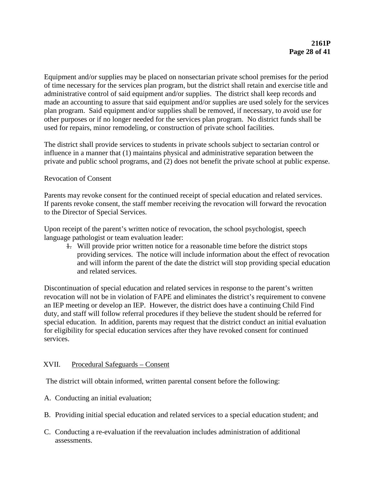Equipment and/or supplies may be placed on nonsectarian private school premises for the period of time necessary for the services plan program, but the district shall retain and exercise title and administrative control of said equipment and/or supplies. The district shall keep records and made an accounting to assure that said equipment and/or supplies are used solely for the services plan program. Said equipment and/or supplies shall be removed, if necessary, to avoid use for other purposes or if no longer needed for the services plan program. No district funds shall be used for repairs, minor remodeling, or construction of private school facilities.

The district shall provide services to students in private schools subject to sectarian control or influence in a manner that (1) maintains physical and administrative separation between the private and public school programs, and (2) does not benefit the private school at public expense.

### Revocation of Consent

Parents may revoke consent for the continued receipt of special education and related services. If parents revoke consent, the staff member receiving the revocation will forward the revocation to the Director of Special Services.

Upon receipt of the parent's written notice of revocation, the school psychologist, speech language pathologist or team evaluation leader:

1. Will provide prior written notice for a reasonable time before the district stops providing services. The notice will include information about the effect of revocation and will inform the parent of the date the district will stop providing special education and related services.

Discontinuation of special education and related services in response to the parent's written revocation will not be in violation of FAPE and eliminates the district's requirement to convene an IEP meeting or develop an IEP. However, the district does have a continuing Child Find duty, and staff will follow referral procedures if they believe the student should be referred for special education. In addition, parents may request that the district conduct an initial evaluation for eligibility for special education services after they have revoked consent for continued services.

### XVII. Procedural Safeguards – Consent

The district will obtain informed, written parental consent before the following:

- A. Conducting an initial evaluation;
- B. Providing initial special education and related services to a special education student; and
- C. Conducting a re-evaluation if the reevaluation includes administration of additional assessments.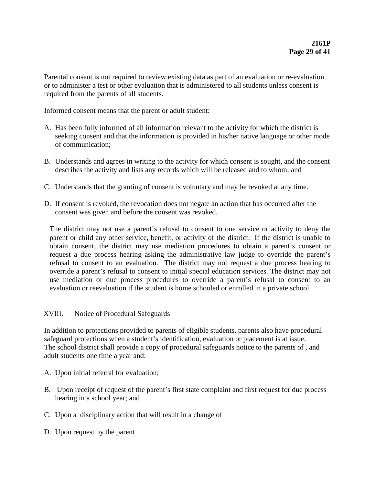Parental consent is not required to review existing data as part of an evaluation or re-evaluation or to administer a test or other evaluation that is administered to all students unless consent is required from the parents of all students.

Informed consent means that the parent or adult student:

- A. Has been fully informed of all information relevant to the activity for which the district is seeking consent and that the information is provided in his/her native language or other mode of communication;
- B. Understands and agrees in writing to the activity for which consent is sought, and the consent describes the activity and lists any records which will be released and to whom; and
- C. Understands that the granting of consent is voluntary and may be revoked at any time.
- D. If consent is revoked, the revocation does not negate an action that has occurred after the consent was given and before the consent was revoked.

The district may not use a parent's refusal to consent to one service or activity to deny the parent or child any other service, benefit, or activity of the district. If the district is unable to obtain consent, the district may use mediation procedures to obtain a parent's consent or request a due process hearing asking the administrative law judge to override the parent's refusal to consent to an evaluation. The district may not request a due process hearing to override a parent's refusal to consent to initial special education services. The district may not use mediation or due process procedures to override a parent's refusal to consent to an evaluation or reevaluation if the student is home schooled or enrolled in a private school.

# XVIII. Notice of Procedural Safeguards

In addition to protections provided to parents of eligible students, parents also have procedural safeguard protections when a student's identification, evaluation or placement is at issue. The school district shall provide a copy of procedural safeguards notice to the parents of , and adult students one time a year and:

- A. Upon initial referral for evaluation;
- B. Upon receipt of request of the parent's first state complaint and first request for due process hearing in a school year; and
- C. Upon a disciplinary action that will result in a change of
- D. Upon request by the parent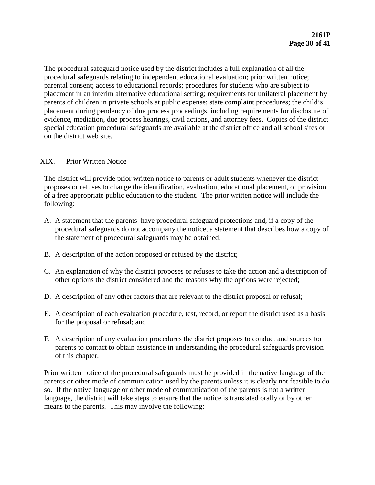The procedural safeguard notice used by the district includes a full explanation of all the procedural safeguards relating to independent educational evaluation; prior written notice; parental consent; access to educational records; procedures for students who are subject to placement in an interim alternative educational setting; requirements for unilateral placement by parents of children in private schools at public expense; state complaint procedures; the child's placement during pendency of due process proceedings, including requirements for disclosure of evidence, mediation, due process hearings, civil actions, and attorney fees. Copies of the district special education procedural safeguards are available at the district office and all school sites or on the district web site.

# XIX. Prior Written Notice

The district will provide prior written notice to parents or adult students whenever the district proposes or refuses to change the identification, evaluation, educational placement, or provision of a free appropriate public education to the student. The prior written notice will include the following:

- A. A statement that the parents have procedural safeguard protections and, if a copy of the procedural safeguards do not accompany the notice, a statement that describes how a copy of the statement of procedural safeguards may be obtained;
- B. A description of the action proposed or refused by the district;
- C. An explanation of why the district proposes or refuses to take the action and a description of other options the district considered and the reasons why the options were rejected;
- D. A description of any other factors that are relevant to the district proposal or refusal;
- E. A description of each evaluation procedure, test, record, or report the district used as a basis for the proposal or refusal; and
- F. A description of any evaluation procedures the district proposes to conduct and sources for parents to contact to obtain assistance in understanding the procedural safeguards provision of this chapter.

Prior written notice of the procedural safeguards must be provided in the native language of the parents or other mode of communication used by the parents unless it is clearly not feasible to do so. If the native language or other mode of communication of the parents is not a written language, the district will take steps to ensure that the notice is translated orally or by other means to the parents. This may involve the following: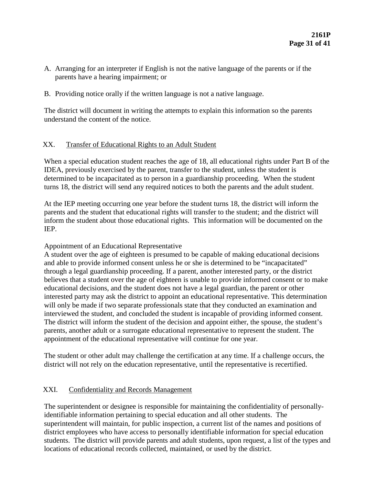- A. Arranging for an interpreter if English is not the native language of the parents or if the parents have a hearing impairment; or
- B. Providing notice orally if the written language is not a native language.

The district will document in writing the attempts to explain this information so the parents understand the content of the notice.

# XX. Transfer of Educational Rights to an Adult Student

When a special education student reaches the age of 18, all educational rights under Part B of the IDEA, previously exercised by the parent, transfer to the student, unless the student is determined to be incapacitated as to person in a guardianship proceeding. When the student turns 18, the district will send any required notices to both the parents and the adult student.

At the IEP meeting occurring one year before the student turns 18, the district will inform the parents and the student that educational rights will transfer to the student; and the district will inform the student about those educational rights. This information will be documented on the IEP.

# Appointment of an Educational Representative

A student over the age of eighteen is presumed to be capable of making educational decisions and able to provide informed consent unless he or she is determined to be "incapacitated" through a legal guardianship proceeding. If a parent, another interested party, or the district believes that a student over the age of eighteen is unable to provide informed consent or to make educational decisions, and the student does not have a legal guardian, the parent or other interested party may ask the district to appoint an educational representative. This determination will only be made if two separate professionals state that they conducted an examination and interviewed the student, and concluded the student is incapable of providing informed consent. The district will inform the student of the decision and appoint either, the spouse, the student's parents, another adult or a surrogate educational representative to represent the student. The appointment of the educational representative will continue for one year.

The student or other adult may challenge the certification at any time. If a challenge occurs, the district will not rely on the education representative, until the representative is recertified.

# XXI. Confidentiality and Records Management

The superintendent or designee is responsible for maintaining the confidentiality of personallyidentifiable information pertaining to special education and all other students. The superintendent will maintain, for public inspection, a current list of the names and positions of district employees who have access to personally identifiable information for special education students. The district will provide parents and adult students, upon request, a list of the types and locations of educational records collected, maintained, or used by the district.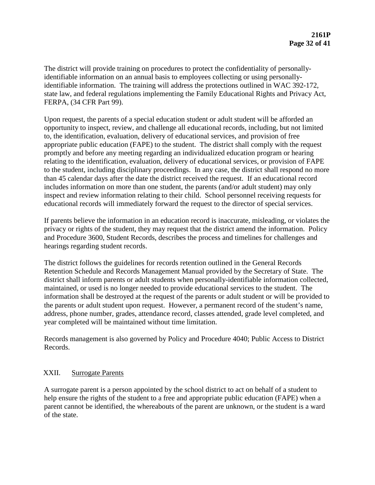The district will provide training on procedures to protect the confidentiality of personallyidentifiable information on an annual basis to employees collecting or using personallyidentifiable information. The training will address the protections outlined in WAC 392-172, state law, and federal regulations implementing the Family Educational Rights and Privacy Act, FERPA, (34 CFR Part 99).

Upon request, the parents of a special education student or adult student will be afforded an opportunity to inspect, review, and challenge all educational records, including, but not limited to, the identification, evaluation, delivery of educational services, and provision of free appropriate public education (FAPE) to the student. The district shall comply with the request promptly and before any meeting regarding an individualized education program or hearing relating to the identification, evaluation, delivery of educational services, or provision of FAPE to the student, including disciplinary proceedings. In any case, the district shall respond no more than 45 calendar days after the date the district received the request. If an educational record includes information on more than one student, the parents (and/or adult student) may only inspect and review information relating to their child. School personnel receiving requests for educational records will immediately forward the request to the director of special services.

If parents believe the information in an education record is inaccurate, misleading, or violates the privacy or rights of the student, they may request that the district amend the information. Policy and Procedure 3600, Student Records, describes the process and timelines for challenges and hearings regarding student records.

The district follows the guidelines for records retention outlined in the General Records Retention Schedule and Records Management Manual provided by the Secretary of State. The district shall inform parents or adult students when personally-identifiable information collected, maintained, or used is no longer needed to provide educational services to the student. The information shall be destroyed at the request of the parents or adult student or will be provided to the parents or adult student upon request. However, a permanent record of the student's name, address, phone number, grades, attendance record, classes attended, grade level completed, and year completed will be maintained without time limitation.

Records management is also governed by Policy and Procedure 4040; Public Access to District Records.

# XXII. Surrogate Parents

A surrogate parent is a person appointed by the school district to act on behalf of a student to help ensure the rights of the student to a free and appropriate public education (FAPE) when a parent cannot be identified, the whereabouts of the parent are unknown, or the student is a ward of the state.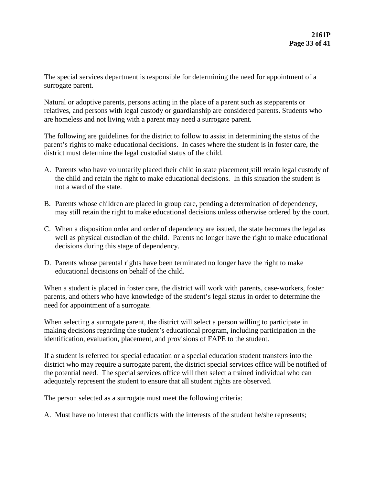The special services department is responsible for determining the need for appointment of a surrogate parent.

Natural or adoptive parents, persons acting in the place of a parent such as stepparents or relatives, and persons with legal custody or guardianship are considered parents. Students who are homeless and not living with a parent may need a surrogate parent.

The following are guidelines for the district to follow to assist in determining the status of the parent's rights to make educational decisions. In cases where the student is in foster care, the district must determine the legal custodial status of the child.

- A. Parents who have voluntarily placed their child in state placement still retain legal custody of the child and retain the right to make educational decisions. In this situation the student is not a ward of the state.
- B. Parents whose children are placed in group care, pending a determination of dependency, may still retain the right to make educational decisions unless otherwise ordered by the court.
- C. When a disposition order and order of dependency are issued, the state becomes the legal as well as physical custodian of the child. Parents no longer have the right to make educational decisions during this stage of dependency.
- D. Parents whose parental rights have been terminated no longer have the right to make educational decisions on behalf of the child.

When a student is placed in foster care, the district will work with parents, case-workers, foster parents, and others who have knowledge of the student's legal status in order to determine the need for appointment of a surrogate.

When selecting a surrogate parent, the district will select a person willing to participate in making decisions regarding the student's educational program, including participation in the identification, evaluation, placement, and provisions of FAPE to the student.

If a student is referred for special education or a special education student transfers into the district who may require a surrogate parent, the district special services office will be notified of the potential need. The special services office will then select a trained individual who can adequately represent the student to ensure that all student rights are observed.

The person selected as a surrogate must meet the following criteria:

A. Must have no interest that conflicts with the interests of the student he/she represents;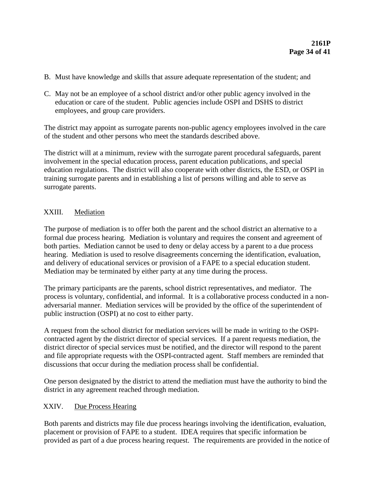- B. Must have knowledge and skills that assure adequate representation of the student; and
- C. May not be an employee of a school district and/or other public agency involved in the education or care of the student. Public agencies include OSPI and DSHS to district employees, and group care providers.

The district may appoint as surrogate parents non-public agency employees involved in the care of the student and other persons who meet the standards described above.

The district will at a minimum, review with the surrogate parent procedural safeguards, parent involvement in the special education process, parent education publications, and special education regulations. The district will also cooperate with other districts, the ESD, or OSPI in training surrogate parents and in establishing a list of persons willing and able to serve as surrogate parents.

# XXIII. Mediation

The purpose of mediation is to offer both the parent and the school district an alternative to a formal due process hearing. Mediation is voluntary and requires the consent and agreement of both parties. Mediation cannot be used to deny or delay access by a parent to a due process hearing. Mediation is used to resolve disagreements concerning the identification, evaluation, and delivery of educational services or provision of a FAPE to a special education student. Mediation may be terminated by either party at any time during the process.

The primary participants are the parents, school district representatives, and mediator. The process is voluntary, confidential, and informal. It is a collaborative process conducted in a nonadversarial manner. Mediation services will be provided by the office of the superintendent of public instruction (OSPI) at no cost to either party.

A request from the school district for mediation services will be made in writing to the OSPIcontracted agent by the district director of special services. If a parent requests mediation, the district director of special services must be notified, and the director will respond to the parent and file appropriate requests with the OSPI-contracted agent. Staff members are reminded that discussions that occur during the mediation process shall be confidential.

One person designated by the district to attend the mediation must have the authority to bind the district in any agreement reached through mediation.

# XXIV. Due Process Hearing

Both parents and districts may file due process hearings involving the identification, evaluation, placement or provision of FAPE to a student. IDEA requires that specific information be provided as part of a due process hearing request. The requirements are provided in the notice of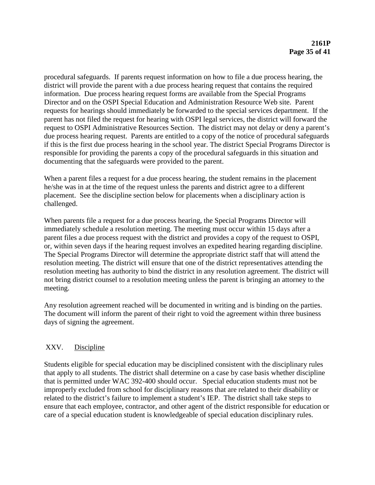procedural safeguards. If parents request information on how to file a due process hearing, the district will provide the parent with a due process hearing request that contains the required information. Due process hearing request forms are available from the Special Programs Director and on the OSPI Special Education and Administration Resource Web site. Parent requests for hearings should immediately be forwarded to the special services department. If the parent has not filed the request for hearing with OSPI legal services, the district will forward the request to OSPI Administrative Resources Section. The district may not delay or deny a parent's due process hearing request. Parents are entitled to a copy of the notice of procedural safeguards if this is the first due process hearing in the school year. The district Special Programs Director is responsible for providing the parents a copy of the procedural safeguards in this situation and documenting that the safeguards were provided to the parent.

When a parent files a request for a due process hearing, the student remains in the placement he/she was in at the time of the request unless the parents and district agree to a different placement. See the discipline section below for placements when a disciplinary action is challenged.

When parents file a request for a due process hearing, the Special Programs Director will immediately schedule a resolution meeting. The meeting must occur within 15 days after a parent files a due process request with the district and provides a copy of the request to OSPI, or, within seven days if the hearing request involves an expedited hearing regarding discipline. The Special Programs Director will determine the appropriate district staff that will attend the resolution meeting. The district will ensure that one of the district representatives attending the resolution meeting has authority to bind the district in any resolution agreement. The district will not bring district counsel to a resolution meeting unless the parent is bringing an attorney to the meeting.

Any resolution agreement reached will be documented in writing and is binding on the parties. The document will inform the parent of their right to void the agreement within three business days of signing the agreement.

# XXV. Discipline

Students eligible for special education may be disciplined consistent with the disciplinary rules that apply to all students. The district shall determine on a case by case basis whether discipline that is permitted under WAC 392-400 should occur. Special education students must not be improperly excluded from school for disciplinary reasons that are related to their disability or related to the district's failure to implement a student's IEP. The district shall take steps to ensure that each employee, contractor, and other agent of the district responsible for education or care of a special education student is knowledgeable of special education disciplinary rules.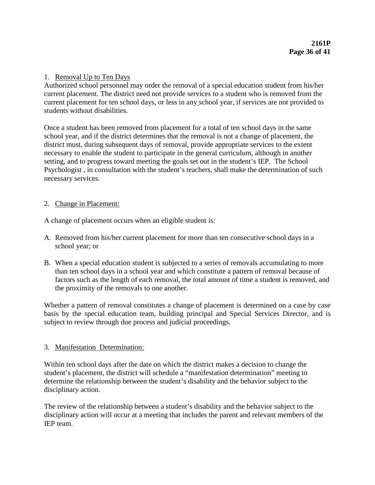## 1. Removal Up to Ten Days

Authorized school personnel may order the removal of a special education student from his/her current placement. The district need not provide services to a student who is removed from the current placement for ten school days, or less in any school year, if services are not provided to students without disabilities.

Once a student has been removed from placement for a total of ten school days in the same school year, and if the district determines that the removal is not a change of placement, the district must, during subsequent days of removal, provide appropriate services to the extent necessary to enable the student to participate in the general curriculum, although in another setting, and to progress toward meeting the goals set out in the student's IEP. The School Psychologist , in consultation with the student's teachers, shall make the determination of such necessary services.

### 2. Change in Placement:

A change of placement occurs when an eligible student is:

- A. Removed from his/her current placement for more than ten consecutive school days in a school year; or
- B. When a special education student is subjected to a series of removals accumulating to more than ten school days in a school year and which constitute a pattern of removal because of factors such as the length of each removal, the total amount of time a student is removed, and the proximity of the removals to one another.

Whether a pattern of removal constitutes a change of placement is determined on a case by case basis by the special education team, building principal and Special Services Director, and is subject to review through due process and judicial proceedings.

### 3. Manifestation Determination:

Within ten school days after the date on which the district makes a decision to change the student's placement, the district will schedule a "manifestation determination" meeting to determine the relationship between the student's disability and the behavior subject to the disciplinary action.

The review of the relationship between a student's disability and the behavior subject to the disciplinary action will occur at a meeting that includes the parent and relevant members of the IEP team.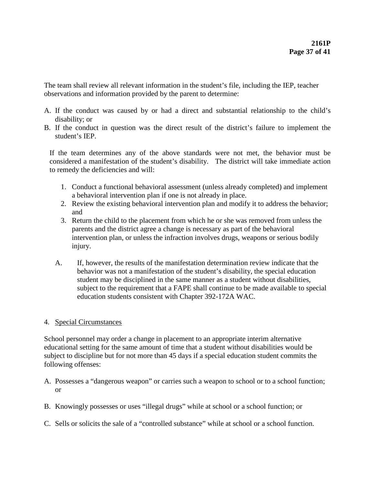The team shall review all relevant information in the student's file, including the IEP, teacher observations and information provided by the parent to determine:

- A. If the conduct was caused by or had a direct and substantial relationship to the child's disability; or
- B. If the conduct in question was the direct result of the district's failure to implement the student's IEP.

If the team determines any of the above standards were not met, the behavior must be considered a manifestation of the student's disability. The district will take immediate action to remedy the deficiencies and will:

- 1. Conduct a functional behavioral assessment (unless already completed) and implement a behavioral intervention plan if one is not already in place.
- 2. Review the existing behavioral intervention plan and modify it to address the behavior; and
- 3. Return the child to the placement from which he or she was removed from unless the parents and the district agree a change is necessary as part of the behavioral intervention plan, or unless the infraction involves drugs, weapons or serious bodily injury.
- A. If, however, the results of the manifestation determination review indicate that the behavior was not a manifestation of the student's disability, the special education student may be disciplined in the same manner as a student without disabilities, subject to the requirement that a FAPE shall continue to be made available to special education students consistent with Chapter 392-172A WAC.

### 4. Special Circumstances

School personnel may order a change in placement to an appropriate interim alternative educational setting for the same amount of time that a student without disabilities would be subject to discipline but for not more than 45 days if a special education student commits the following offenses:

- A. Possesses a "dangerous weapon" or carries such a weapon to school or to a school function; or
- B. Knowingly possesses or uses "illegal drugs" while at school or a school function; or
- C. Sells or solicits the sale of a "controlled substance" while at school or a school function.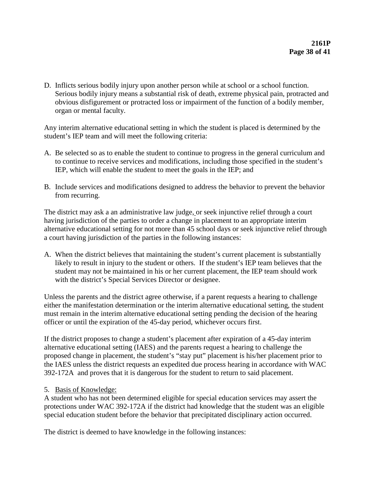D. Inflicts serious bodily injury upon another person while at school or a school function. Serious bodily injury means a substantial risk of death, extreme physical pain, protracted and obvious disfigurement or protracted loss or impairment of the function of a bodily member, organ or mental faculty.

Any interim alternative educational setting in which the student is placed is determined by the student's IEP team and will meet the following criteria:

- A. Be selected so as to enable the student to continue to progress in the general curriculum and to continue to receive services and modifications, including those specified in the student's IEP, which will enable the student to meet the goals in the IEP; and
- B. Include services and modifications designed to address the behavior to prevent the behavior from recurring.

The district may ask a an administrative law judge, or seek injunctive relief through a court having jurisdiction of the parties to order a change in placement to an appropriate interim alternative educational setting for not more than 45 school days or seek injunctive relief through a court having jurisdiction of the parties in the following instances:

A. When the district believes that maintaining the student's current placement is substantially likely to result in injury to the student or others. If the student's IEP team believes that the student may not be maintained in his or her current placement, the IEP team should work with the district's Special Services Director or designee.

Unless the parents and the district agree otherwise, if a parent requests a hearing to challenge either the manifestation determination or the interim alternative educational setting, the student must remain in the interim alternative educational setting pending the decision of the hearing officer or until the expiration of the 45-day period, whichever occurs first.

If the district proposes to change a student's placement after expiration of a 45-day interim alternative educational setting (IAES) and the parents request a hearing to challenge the proposed change in placement, the student's "stay put" placement is his/her placement prior to the IAES unless the district requests an expedited due process hearing in accordance with WAC 392-172A and proves that it is dangerous for the student to return to said placement.

### 5. Basis of Knowledge:

A student who has not been determined eligible for special education services may assert the protections under WAC 392-172A if the district had knowledge that the student was an eligible special education student before the behavior that precipitated disciplinary action occurred.

The district is deemed to have knowledge in the following instances: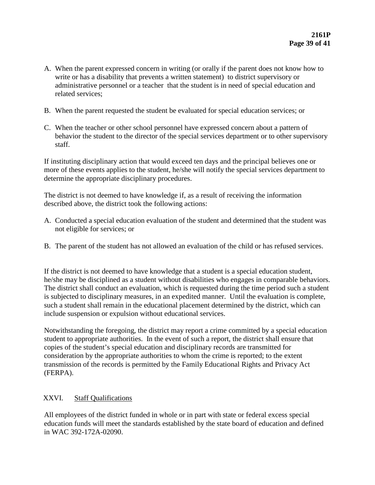- A. When the parent expressed concern in writing (or orally if the parent does not know how to write or has a disability that prevents a written statement) to district supervisory or administrative personnel or a teacher that the student is in need of special education and related services;
- B. When the parent requested the student be evaluated for special education services; or
- C. When the teacher or other school personnel have expressed concern about a pattern of behavior the student to the director of the special services department or to other supervisory staff.

If instituting disciplinary action that would exceed ten days and the principal believes one or more of these events applies to the student, he/she will notify the special services department to determine the appropriate disciplinary procedures.

The district is not deemed to have knowledge if, as a result of receiving the information described above, the district took the following actions:

- A. Conducted a special education evaluation of the student and determined that the student was not eligible for services; or
- B. The parent of the student has not allowed an evaluation of the child or has refused services.

If the district is not deemed to have knowledge that a student is a special education student, he/she may be disciplined as a student without disabilities who engages in comparable behaviors. The district shall conduct an evaluation, which is requested during the time period such a student is subjected to disciplinary measures, in an expedited manner. Until the evaluation is complete, such a student shall remain in the educational placement determined by the district, which can include suspension or expulsion without educational services.

Notwithstanding the foregoing, the district may report a crime committed by a special education student to appropriate authorities. In the event of such a report, the district shall ensure that copies of the student's special education and disciplinary records are transmitted for consideration by the appropriate authorities to whom the crime is reported; to the extent transmission of the records is permitted by the Family Educational Rights and Privacy Act (FERPA).

### XXVI. Staff Qualifications

All employees of the district funded in whole or in part with state or federal excess special education funds will meet the standards established by the state board of education and defined in WAC 392-172A-02090.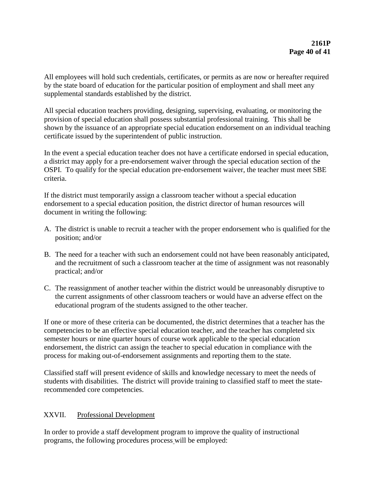All employees will hold such credentials, certificates, or permits as are now or hereafter required by the state board of education for the particular position of employment and shall meet any supplemental standards established by the district.

All special education teachers providing, designing, supervising, evaluating, or monitoring the provision of special education shall possess substantial professional training. This shall be shown by the issuance of an appropriate special education endorsement on an individual teaching certificate issued by the superintendent of public instruction.

In the event a special education teacher does not have a certificate endorsed in special education, a district may apply for a pre-endorsement waiver through the special education section of the OSPI. To qualify for the special education pre-endorsement waiver, the teacher must meet SBE criteria.

If the district must temporarily assign a classroom teacher without a special education endorsement to a special education position, the district director of human resources will document in writing the following:

- A. The district is unable to recruit a teacher with the proper endorsement who is qualified for the position; and/or
- B. The need for a teacher with such an endorsement could not have been reasonably anticipated, and the recruitment of such a classroom teacher at the time of assignment was not reasonably practical; and/or
- C. The reassignment of another teacher within the district would be unreasonably disruptive to the current assignments of other classroom teachers or would have an adverse effect on the educational program of the students assigned to the other teacher.

If one or more of these criteria can be documented, the district determines that a teacher has the competencies to be an effective special education teacher, and the teacher has completed six semester hours or nine quarter hours of course work applicable to the special education endorsement, the district can assign the teacher to special education in compliance with the process for making out-of-endorsement assignments and reporting them to the state.

Classified staff will present evidence of skills and knowledge necessary to meet the needs of students with disabilities. The district will provide training to classified staff to meet the staterecommended core competencies.

# XXVII. Professional Development

In order to provide a staff development program to improve the quality of instructional programs, the following procedures process will be employed: